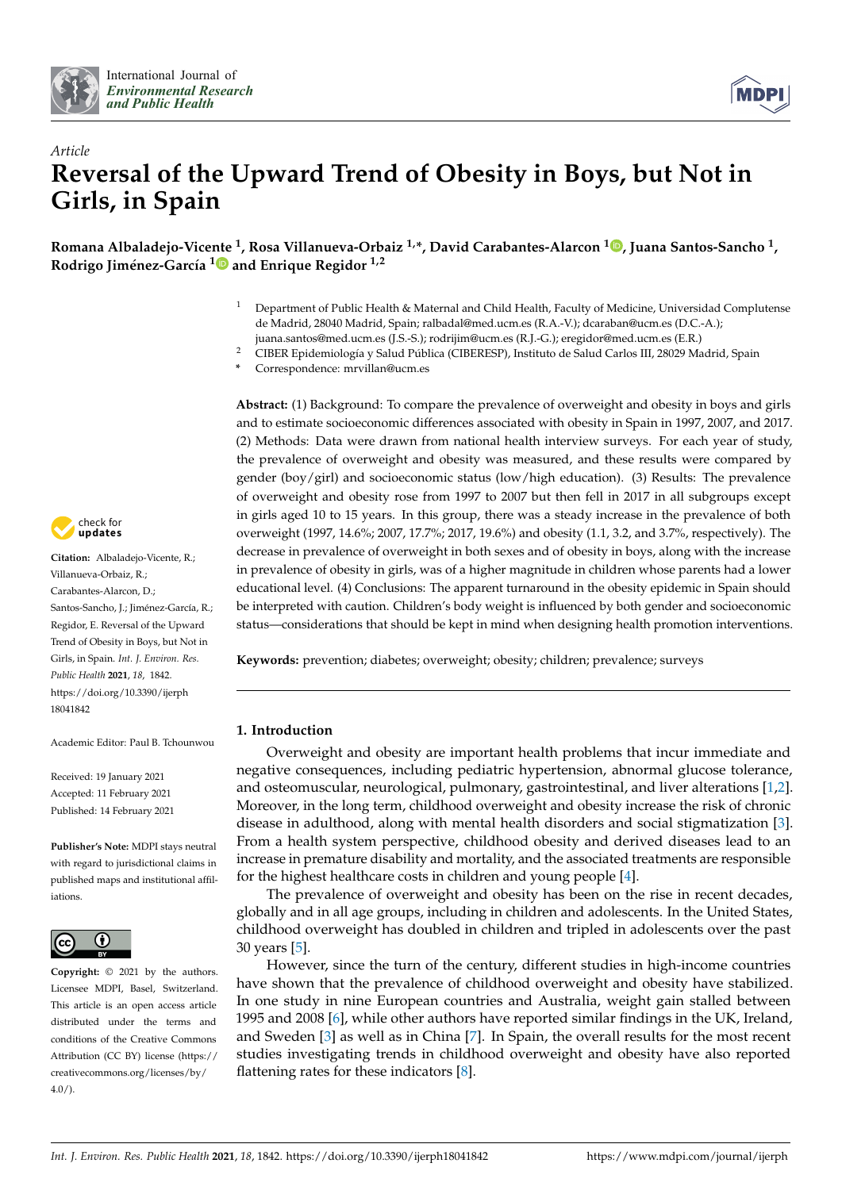



# *Article* **Reversal of the Upward Trend of Obesity in Boys, but Not in Girls, in Spain**

**Romana Albaladejo-Vice[nte](https://orcid.org/0000-0001-6119-4222) <sup>1</sup> , Rosa Villanueva-Orbaiz 1,\*, David Carabantes-Alarcon <sup>1</sup> [,](https://orcid.org/0000-0001-9897-4847) Juana Santos-Sancho <sup>1</sup> , Rodrigo Jiménez-García <sup>1</sup> and Enrique Regidor 1,2**

- <sup>1</sup> Department of Public Health & Maternal and Child Health, Faculty of Medicine, Universidad Complutense de Madrid, 28040 Madrid, Spain; ralbadal@med.ucm.es (R.A.-V.); dcaraban@ucm.es (D.C.-A.); juana.santos@med.ucm.es (J.S.-S.); rodrijim@ucm.es (R.J.-G.); eregidor@med.ucm.es (E.R.)
- <sup>2</sup> CIBER Epidemiología y Salud Pública (CIBERESP), Instituto de Salud Carlos III, 28029 Madrid, Spain
- **\*** Correspondence: mrvillan@ucm.es

**Abstract:** (1) Background: To compare the prevalence of overweight and obesity in boys and girls and to estimate socioeconomic differences associated with obesity in Spain in 1997, 2007, and 2017. (2) Methods: Data were drawn from national health interview surveys. For each year of study, the prevalence of overweight and obesity was measured, and these results were compared by gender (boy/girl) and socioeconomic status (low/high education). (3) Results: The prevalence of overweight and obesity rose from 1997 to 2007 but then fell in 2017 in all subgroups except in girls aged 10 to 15 years. In this group, there was a steady increase in the prevalence of both overweight (1997, 14.6%; 2007, 17.7%; 2017, 19.6%) and obesity (1.1, 3.2, and 3.7%, respectively). The decrease in prevalence of overweight in both sexes and of obesity in boys, along with the increase in prevalence of obesity in girls, was of a higher magnitude in children whose parents had a lower educational level. (4) Conclusions: The apparent turnaround in the obesity epidemic in Spain should be interpreted with caution. Children's body weight is influenced by both gender and socioeconomic status—considerations that should be kept in mind when designing health promotion interventions.

**Keywords:** prevention; diabetes; overweight; obesity; children; prevalence; surveys

## **1. Introduction**

Overweight and obesity are important health problems that incur immediate and negative consequences, including pediatric hypertension, abnormal glucose tolerance, and osteomuscular, neurological, pulmonary, gastrointestinal, and liver alterations [\[1,](#page-7-0)[2\]](#page-7-1). Moreover, in the long term, childhood overweight and obesity increase the risk of chronic disease in adulthood, along with mental health disorders and social stigmatization [\[3\]](#page-7-2). From a health system perspective, childhood obesity and derived diseases lead to an increase in premature disability and mortality, and the associated treatments are responsible for the highest healthcare costs in children and young people [\[4\]](#page-7-3).

The prevalence of overweight and obesity has been on the rise in recent decades, globally and in all age groups, including in children and adolescents. In the United States, childhood overweight has doubled in children and tripled in adolescents over the past 30 years [\[5\]](#page-7-4).

However, since the turn of the century, different studies in high-income countries have shown that the prevalence of childhood overweight and obesity have stabilized. In one study in nine European countries and Australia, weight gain stalled between 1995 and 2008 [\[6\]](#page-7-5), while other authors have reported similar findings in the UK, Ireland, and Sweden [\[3\]](#page-7-2) as well as in China [\[7\]](#page-7-6). In Spain, the overall results for the most recent studies investigating trends in childhood overweight and obesity have also reported flattening rates for these indicators [\[8\]](#page-7-7).



**Citation:** Albaladejo-Vicente, R.; Villanueva-Orbaiz, R.; Carabantes-Alarcon, D.; Santos-Sancho, J.; Jiménez-García, R.; Regidor, E. Reversal of the Upward Trend of Obesity in Boys, but Not in Girls, in Spain. *Int. J. Environ. Res. Public Health* **2021**, *18*, 1842. [https://doi.org/10.3390/ijerph](https://doi.org/10.3390/ijerph18041842) [18041842](https://doi.org/10.3390/ijerph18041842)

Academic Editor: Paul B. Tchounwou

Received: 19 January 2021 Accepted: 11 February 2021 Published: 14 February 2021

**Publisher's Note:** MDPI stays neutral with regard to jurisdictional claims in published maps and institutional affiliations.



**Copyright:** © 2021 by the authors. Licensee MDPI, Basel, Switzerland. This article is an open access article distributed under the terms and conditions of the Creative Commons Attribution (CC BY) license (https:/[/](https://creativecommons.org/licenses/by/4.0/) [creativecommons.org/licenses/by/](https://creativecommons.org/licenses/by/4.0/) 4.0/).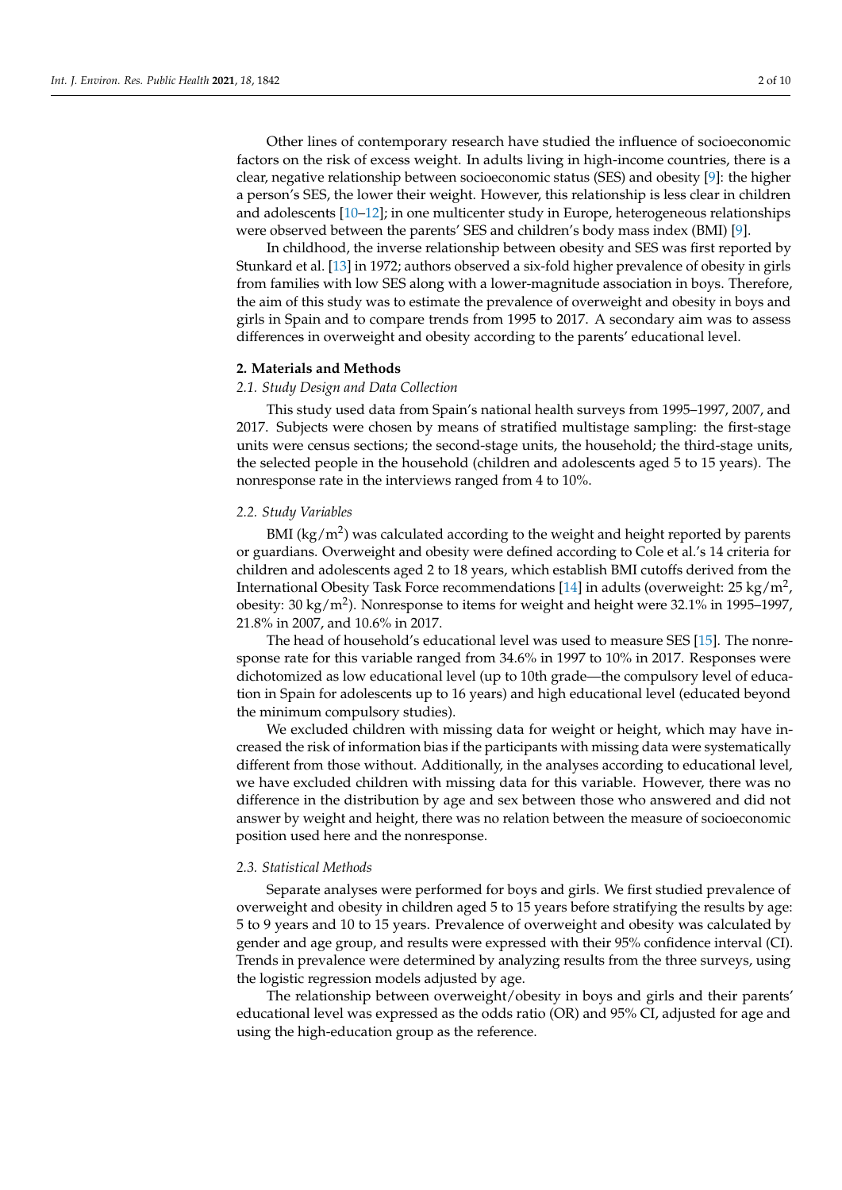Other lines of contemporary research have studied the influence of socioeconomic factors on the risk of excess weight. In adults living in high-income countries, there is a clear, negative relationship between socioeconomic status (SES) and obesity [\[9\]](#page-7-8): the higher a person's SES, the lower their weight. However, this relationship is less clear in children and adolescents [\[10](#page-7-9)[–12\]](#page-7-10); in one multicenter study in Europe, heterogeneous relationships were observed between the parents' SES and children's body mass index (BMI) [\[9\]](#page-7-8).

In childhood, the inverse relationship between obesity and SES was first reported by Stunkard et al. [\[13\]](#page-7-11) in 1972; authors observed a six-fold higher prevalence of obesity in girls from families with low SES along with a lower-magnitude association in boys. Therefore, the aim of this study was to estimate the prevalence of overweight and obesity in boys and girls in Spain and to compare trends from 1995 to 2017. A secondary aim was to assess differences in overweight and obesity according to the parents' educational level.

## **2. Materials and Methods**

## *2.1. Study Design and Data Collection*

This study used data from Spain's national health surveys from 1995–1997, 2007, and 2017. Subjects were chosen by means of stratified multistage sampling: the first-stage units were census sections; the second-stage units, the household; the third-stage units, the selected people in the household (children and adolescents aged 5 to 15 years). The nonresponse rate in the interviews ranged from 4 to 10%.

## *2.2. Study Variables*

BMI (kg/m<sup>2</sup>) was calculated according to the weight and height reported by parents or guardians. Overweight and obesity were defined according to Cole et al.'s 14 criteria for children and adolescents aged 2 to 18 years, which establish BMI cutoffs derived from the International Obesity Task Force recommendations [\[14\]](#page-7-12) in adults (overweight: 25 kg/m<sup>2</sup>, obesity: 30 kg/m<sup>2</sup>). Nonresponse to items for weight and height were 32.1% in 1995–1997, 21.8% in 2007, and 10.6% in 2017.

The head of household's educational level was used to measure SES [\[15\]](#page-7-13). The nonresponse rate for this variable ranged from 34.6% in 1997 to 10% in 2017. Responses were dichotomized as low educational level (up to 10th grade—the compulsory level of education in Spain for adolescents up to 16 years) and high educational level (educated beyond the minimum compulsory studies).

We excluded children with missing data for weight or height, which may have increased the risk of information bias if the participants with missing data were systematically different from those without. Additionally, in the analyses according to educational level, we have excluded children with missing data for this variable. However, there was no difference in the distribution by age and sex between those who answered and did not answer by weight and height, there was no relation between the measure of socioeconomic position used here and the nonresponse.

## *2.3. Statistical Methods*

Separate analyses were performed for boys and girls. We first studied prevalence of overweight and obesity in children aged 5 to 15 years before stratifying the results by age: 5 to 9 years and 10 to 15 years. Prevalence of overweight and obesity was calculated by gender and age group, and results were expressed with their 95% confidence interval (CI). Trends in prevalence were determined by analyzing results from the three surveys, using the logistic regression models adjusted by age.

The relationship between overweight/obesity in boys and girls and their parents' educational level was expressed as the odds ratio (OR) and 95% CI, adjusted for age and using the high-education group as the reference.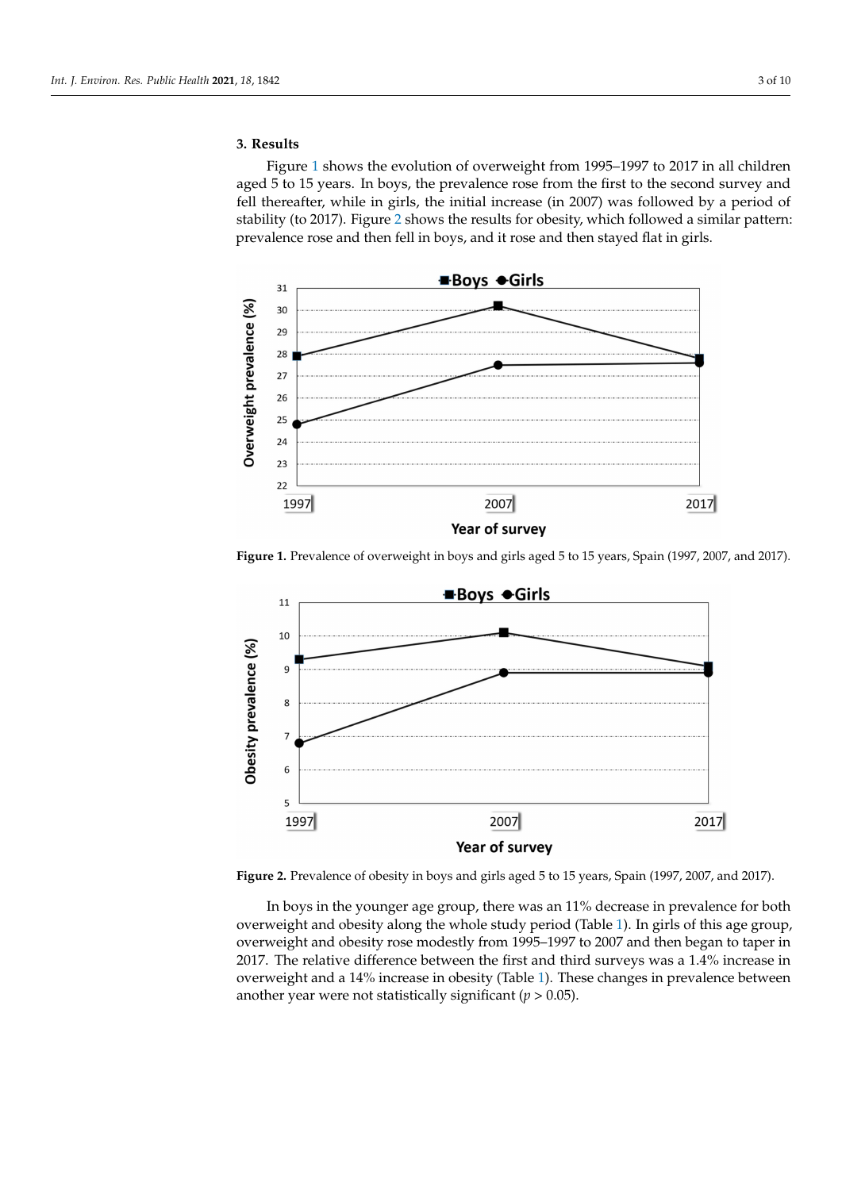## **3. Results**

Figure [1](#page-2-0) shows the evolution of overweight from 1995–1997 to 2017 in all children aged 5 to 15 years. In boys, the prevalence rose from the first to the second survey and fell thereafter, while in girls, the initial increase (in 2007) was followed by a period of stability (to 2017). Figure [2](#page-2-1) shows the results for obesity, which followed a similar pattern: prevalence rose and then fell in boys, and it rose and then stayed flat in girls.

<span id="page-2-0"></span>

**Figure 1.** Prevalence of overweight in boys and girls aged 5 to 15 years, Spain (1997, 2007, and 2017).

<span id="page-2-1"></span>

**Figure 2.** Prevalence of obesity in boys and girls aged 5 to 15 years, Spain (1997, 2007, and 2017).

In boys in the younger age group, there was an 11% decrease in prevalence for both overweight and obesity along the whole study period (Table [1\)](#page-3-0). In girls of this age group, overweight and obesity rose modestly from 1995–1997 to 2007 and then began to taper in 2017. The relative difference between the first and third surveys was a 1.4% increase in overweight and a 14% increase in obesity (Table [1\)](#page-3-0). These changes in prevalence between another year were not statistically significant (*p* > 0.05).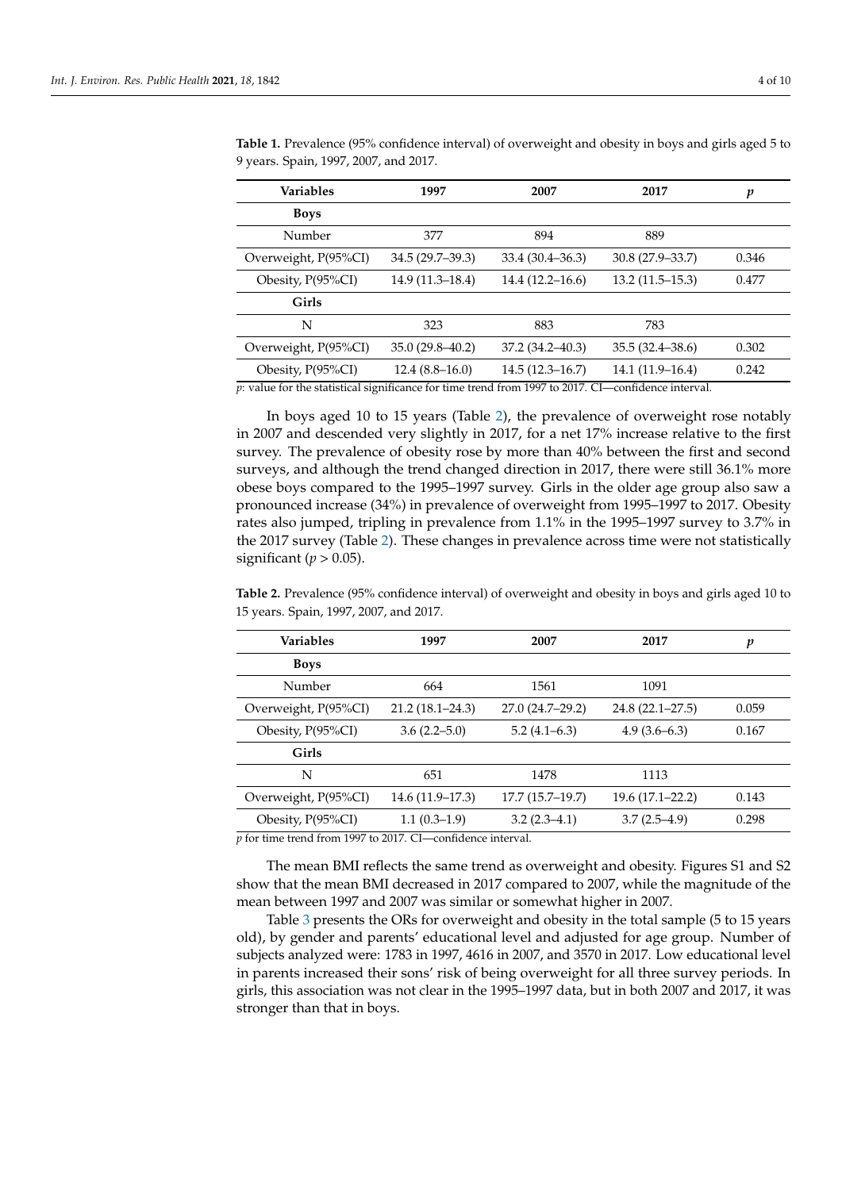| <b>Variables</b>     | 1997<br>2007        |                     | 2017                | p     |
|----------------------|---------------------|---------------------|---------------------|-------|
| <b>Boys</b>          |                     |                     |                     |       |
| Number               | 377                 | 894                 | 889                 |       |
| Overweight, P(95%CI) | 34.5 (29.7-39.3)    | 33.4 (30.4–36.3)    | 30.8 (27.9–33.7)    | 0.346 |
| Obesity, P(95%CI)    | $14.9(11.3-18.4)$   | $14.4(12.2 - 16.6)$ | $13.2(11.5-15.3)$   | 0.477 |
| Girls                |                     |                     |                     |       |
| N                    | 323                 | 883                 | 783                 |       |
| Overweight, P(95%CI) | $35.0(29.8 - 40.2)$ | 37.2 (34.2–40.3)    | $35.5(32.4 - 38.6)$ | 0.302 |
| Obesity, P(95%CI)    | $12.4(8.8-16.0)$    | $14.5(12.3 - 16.7)$ | 14.1 (11.9-16.4)    | 0.242 |

<span id="page-3-0"></span>**Table 1.** Prevalence (95% confidence interval) of overweight and obesity in boys and girls aged 5 to 9 years. Spain, 1997, 2007, and 2017.

*p*: value for the statistical significance for time trend from 1997 to 2017. CI—confidence interval.

In boys aged 10 to 15 years (Table [2\)](#page-3-1), the prevalence of overweight rose notably in 2007 and descended very slightly in 2017, for a net 17% increase relative to the first survey. The prevalence of obesity rose by more than 40% between the first and second surveys, and although the trend changed direction in 2017, there were still 36.1% more obese boys compared to the 1995–1997 survey. Girls in the older age group also saw a pronounced increase (34%) in prevalence of overweight from 1995–1997 to 2017. Obesity rates also jumped, tripling in prevalence from 1.1% in the 1995–1997 survey to 3.7% in the 2017 survey (Table [2\)](#page-3-1). These changes in prevalence across time were not statistically significant ( $p > 0.05$ ).

<span id="page-3-1"></span>**Table 2.** Prevalence (95% confidence interval) of overweight and obesity in boys and girls aged 10 to 15 years. Spain, 1997, 2007, and 2017.

| <b>Variables</b>     | 1997                             | 2007              | 2017                | p     |
|----------------------|----------------------------------|-------------------|---------------------|-------|
| <b>Boys</b>          |                                  |                   |                     |       |
| Number               | 664                              | 1561              | 1091                |       |
| Overweight, P(95%CI) | $21.2(18.1 - 24.3)$              | 27.0 (24.7–29.2)  | $24.8(22.1 - 27.5)$ | 0.059 |
| Obesity, P(95%CI)    | $3.6(2.2 - 5.0)$                 | $5.2(4.1-6.3)$    | $4.9(3.6-6.3)$      | 0.167 |
| Girls                |                                  |                   |                     |       |
| N                    | 651                              | 1478              | 1113                |       |
| Overweight, P(95%CI) | $14.6(11.9-17.3)$                | $17.7(15.7-19.7)$ | $19.6(17.1 - 22.2)$ | 0.143 |
| Obesity, $P(95\%CI)$ | $1.1(0.3-1.9)$<br>$3.2(2.3-4.1)$ |                   | $3.7(2.5-4.9)$      | 0.298 |

*p* for time trend from 1997 to 2017. CI—confidence interval.

The mean BMI reflects the same trend as overweight and obesity. Figures S1 and S2 show that the mean BMI decreased in 2017 compared to 2007, while the magnitude of the mean between 1997 and 2007 was similar or somewhat higher in 2007.

Table [3](#page-4-0) presents the ORs for overweight and obesity in the total sample (5 to 15 years old), by gender and parents' educational level and adjusted for age group. Number of subjects analyzed were: 1783 in 1997, 4616 in 2007, and 3570 in 2017. Low educational level in parents increased their sons' risk of being overweight for all three survey periods. In girls, this association was not clear in the 1995–1997 data, but in both 2007 and 2017, it was stronger than that in boys.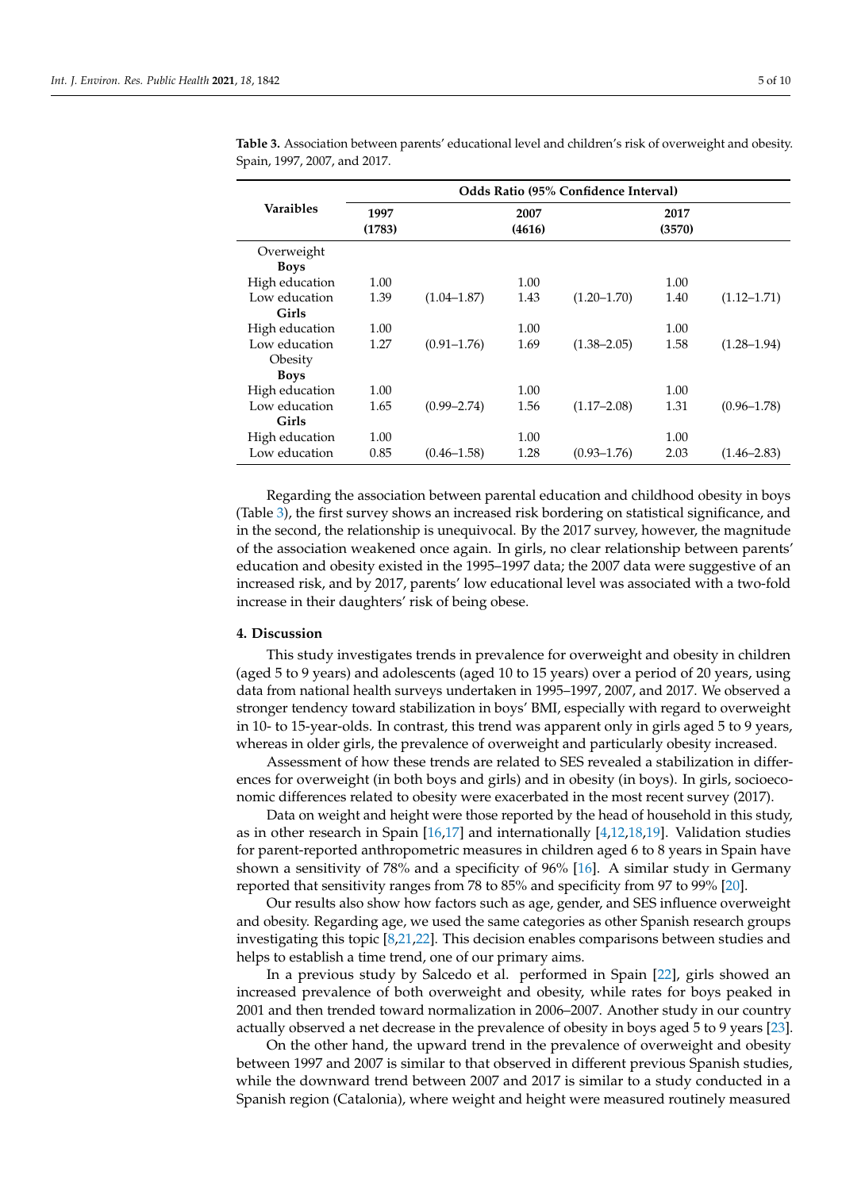|                  | Odds Ratio (95% Confidence Interval) |                 |                |                 |                |                 |  |
|------------------|--------------------------------------|-----------------|----------------|-----------------|----------------|-----------------|--|
| <b>Varaibles</b> | 1997<br>(1783)                       |                 | 2007<br>(4616) |                 | 2017<br>(3570) |                 |  |
| Overweight       |                                      |                 |                |                 |                |                 |  |
| <b>Boys</b>      |                                      |                 |                |                 |                |                 |  |
| High education   | 1.00                                 |                 | 1.00           |                 | 1.00           |                 |  |
| Low education    | 1.39                                 | $(1.04 - 1.87)$ | 1.43           | $(1.20 - 1.70)$ | 1.40           | $(1.12 - 1.71)$ |  |
| Girls            |                                      |                 |                |                 |                |                 |  |
| High education   | 1.00                                 |                 | 1.00           |                 | 1.00           |                 |  |
| Low education    | 1.27                                 | $(0.91 - 1.76)$ | 1.69           | $(1.38 - 2.05)$ | 1.58           | $(1.28 - 1.94)$ |  |
| Obesity          |                                      |                 |                |                 |                |                 |  |
| <b>Boys</b>      |                                      |                 |                |                 |                |                 |  |
| High education   | 1.00                                 |                 | 1.00           |                 | 1.00           |                 |  |
| Low education    | 1.65                                 | $(0.99 - 2.74)$ | 1.56           | $(1.17 - 2.08)$ | 1.31           | $(0.96 - 1.78)$ |  |
| Girls            |                                      |                 |                |                 |                |                 |  |
| High education   | 1.00                                 |                 | 1.00           |                 | 1.00           |                 |  |
| Low education    | 0.85                                 | $(0.46 - 1.58)$ | 1.28           | $(0.93 - 1.76)$ | 2.03           | $(1.46 - 2.83)$ |  |

<span id="page-4-0"></span>**Table 3.** Association between parents' educational level and children's risk of overweight and obesity. Spain, 1997, 2007, and 2017.

Regarding the association between parental education and childhood obesity in boys (Table [3\)](#page-4-0), the first survey shows an increased risk bordering on statistical significance, and in the second, the relationship is unequivocal. By the 2017 survey, however, the magnitude of the association weakened once again. In girls, no clear relationship between parents' education and obesity existed in the 1995–1997 data; the 2007 data were suggestive of an increased risk, and by 2017, parents' low educational level was associated with a two-fold increase in their daughters' risk of being obese.

#### **4. Discussion**

This study investigates trends in prevalence for overweight and obesity in children (aged 5 to 9 years) and adolescents (aged 10 to 15 years) over a period of 20 years, using data from national health surveys undertaken in 1995–1997, 2007, and 2017. We observed a stronger tendency toward stabilization in boys' BMI, especially with regard to overweight in 10- to 15-year-olds. In contrast, this trend was apparent only in girls aged 5 to 9 years, whereas in older girls, the prevalence of overweight and particularly obesity increased.

Assessment of how these trends are related to SES revealed a stabilization in differences for overweight (in both boys and girls) and in obesity (in boys). In girls, socioeconomic differences related to obesity were exacerbated in the most recent survey (2017).

Data on weight and height were those reported by the head of household in this study, as in other research in Spain [\[16](#page-7-14)[,17\]](#page-7-15) and internationally [\[4](#page-7-3)[,12,](#page-7-10)[18](#page-7-16)[,19\]](#page-8-0). Validation studies for parent-reported anthropometric measures in children aged 6 to 8 years in Spain have shown a sensitivity of 78% and a specificity of 96% [\[16\]](#page-7-14). A similar study in Germany reported that sensitivity ranges from 78 to 85% and specificity from 97 to 99% [\[20\]](#page-8-1).

Our results also show how factors such as age, gender, and SES influence overweight and obesity. Regarding age, we used the same categories as other Spanish research groups investigating this topic [\[8,](#page-7-7)[21,](#page-8-2)[22\]](#page-8-3). This decision enables comparisons between studies and helps to establish a time trend, one of our primary aims.

In a previous study by Salcedo et al. performed in Spain [\[22\]](#page-8-3), girls showed an increased prevalence of both overweight and obesity, while rates for boys peaked in 2001 and then trended toward normalization in 2006–2007. Another study in our country actually observed a net decrease in the prevalence of obesity in boys aged 5 to 9 years [\[23\]](#page-8-4).

On the other hand, the upward trend in the prevalence of overweight and obesity between 1997 and 2007 is similar to that observed in different previous Spanish studies, while the downward trend between 2007 and 2017 is similar to a study conducted in a Spanish region (Catalonia), where weight and height were measured routinely measured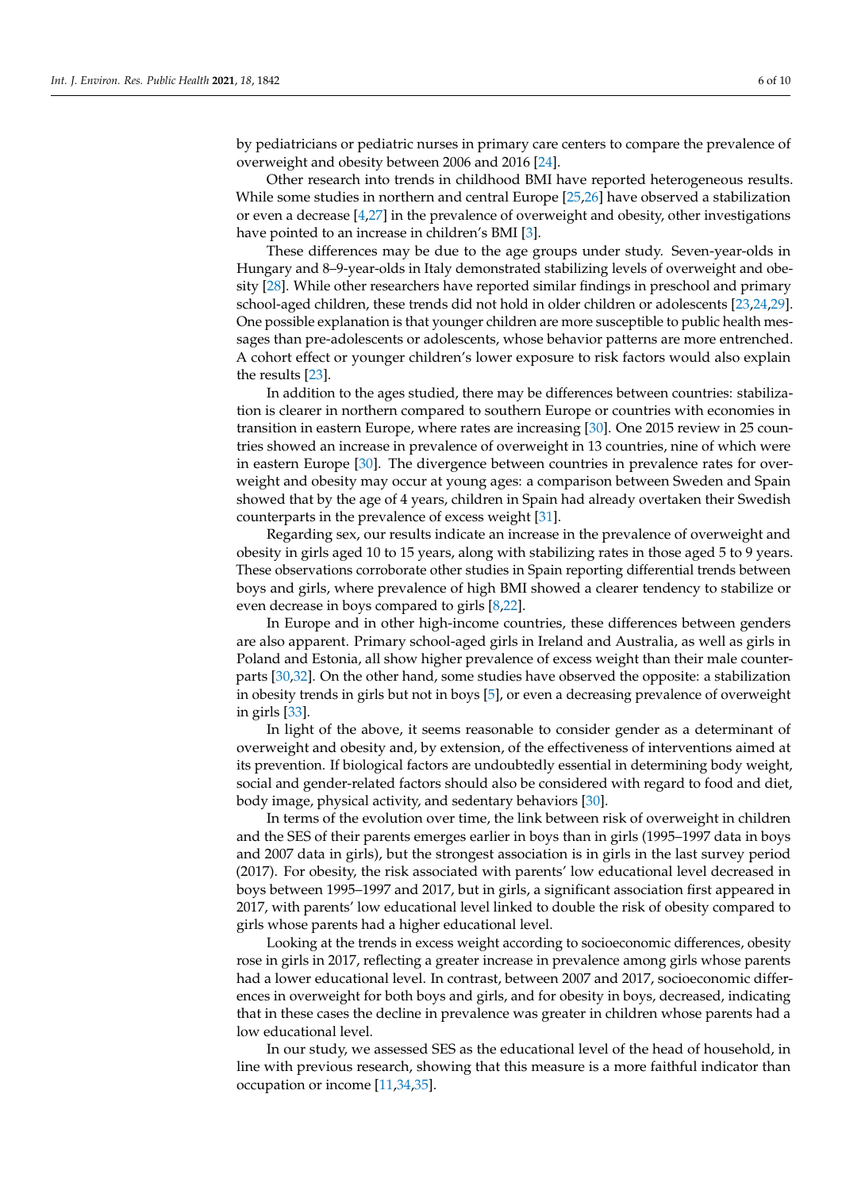by pediatricians or pediatric nurses in primary care centers to compare the prevalence of overweight and obesity between 2006 and 2016 [\[24\]](#page-8-5).

Other research into trends in childhood BMI have reported heterogeneous results. While some studies in northern and central Europe [\[25](#page-8-6)[,26\]](#page-8-7) have observed a stabilization or even a decrease [\[4](#page-7-3)[,27\]](#page-8-8) in the prevalence of overweight and obesity, other investigations have pointed to an increase in children's BMI [\[3\]](#page-7-2).

These differences may be due to the age groups under study. Seven-year-olds in Hungary and 8–9-year-olds in Italy demonstrated stabilizing levels of overweight and obesity [\[28\]](#page-8-9). While other researchers have reported similar findings in preschool and primary school-aged children, these trends did not hold in older children or adolescents [\[23](#page-8-4)[,24](#page-8-5)[,29\]](#page-8-10). One possible explanation is that younger children are more susceptible to public health messages than pre-adolescents or adolescents, whose behavior patterns are more entrenched. A cohort effect or younger children's lower exposure to risk factors would also explain the results [\[23\]](#page-8-4).

In addition to the ages studied, there may be differences between countries: stabilization is clearer in northern compared to southern Europe or countries with economies in transition in eastern Europe, where rates are increasing [\[30\]](#page-8-11). One 2015 review in 25 countries showed an increase in prevalence of overweight in 13 countries, nine of which were in eastern Europe [\[30\]](#page-8-11). The divergence between countries in prevalence rates for overweight and obesity may occur at young ages: a comparison between Sweden and Spain showed that by the age of 4 years, children in Spain had already overtaken their Swedish counterparts in the prevalence of excess weight [\[31\]](#page-8-12).

Regarding sex, our results indicate an increase in the prevalence of overweight and obesity in girls aged 10 to 15 years, along with stabilizing rates in those aged 5 to 9 years. These observations corroborate other studies in Spain reporting differential trends between boys and girls, where prevalence of high BMI showed a clearer tendency to stabilize or even decrease in boys compared to girls [\[8,](#page-7-7)[22\]](#page-8-3).

In Europe and in other high-income countries, these differences between genders are also apparent. Primary school-aged girls in Ireland and Australia, as well as girls in Poland and Estonia, all show higher prevalence of excess weight than their male counterparts [\[30,](#page-8-11)[32\]](#page-8-13). On the other hand, some studies have observed the opposite: a stabilization in obesity trends in girls but not in boys [\[5\]](#page-7-4), or even a decreasing prevalence of overweight in girls [\[33\]](#page-8-14).

In light of the above, it seems reasonable to consider gender as a determinant of overweight and obesity and, by extension, of the effectiveness of interventions aimed at its prevention. If biological factors are undoubtedly essential in determining body weight, social and gender-related factors should also be considered with regard to food and diet, body image, physical activity, and sedentary behaviors [\[30\]](#page-8-11).

In terms of the evolution over time, the link between risk of overweight in children and the SES of their parents emerges earlier in boys than in girls (1995–1997 data in boys and 2007 data in girls), but the strongest association is in girls in the last survey period (2017). For obesity, the risk associated with parents' low educational level decreased in boys between 1995–1997 and 2017, but in girls, a significant association first appeared in 2017, with parents' low educational level linked to double the risk of obesity compared to girls whose parents had a higher educational level.

Looking at the trends in excess weight according to socioeconomic differences, obesity rose in girls in 2017, reflecting a greater increase in prevalence among girls whose parents had a lower educational level. In contrast, between 2007 and 2017, socioeconomic differences in overweight for both boys and girls, and for obesity in boys, decreased, indicating that in these cases the decline in prevalence was greater in children whose parents had a low educational level.

In our study, we assessed SES as the educational level of the head of household, in line with previous research, showing that this measure is a more faithful indicator than occupation or income [\[11,](#page-7-17)[34,](#page-8-15)[35\]](#page-8-16).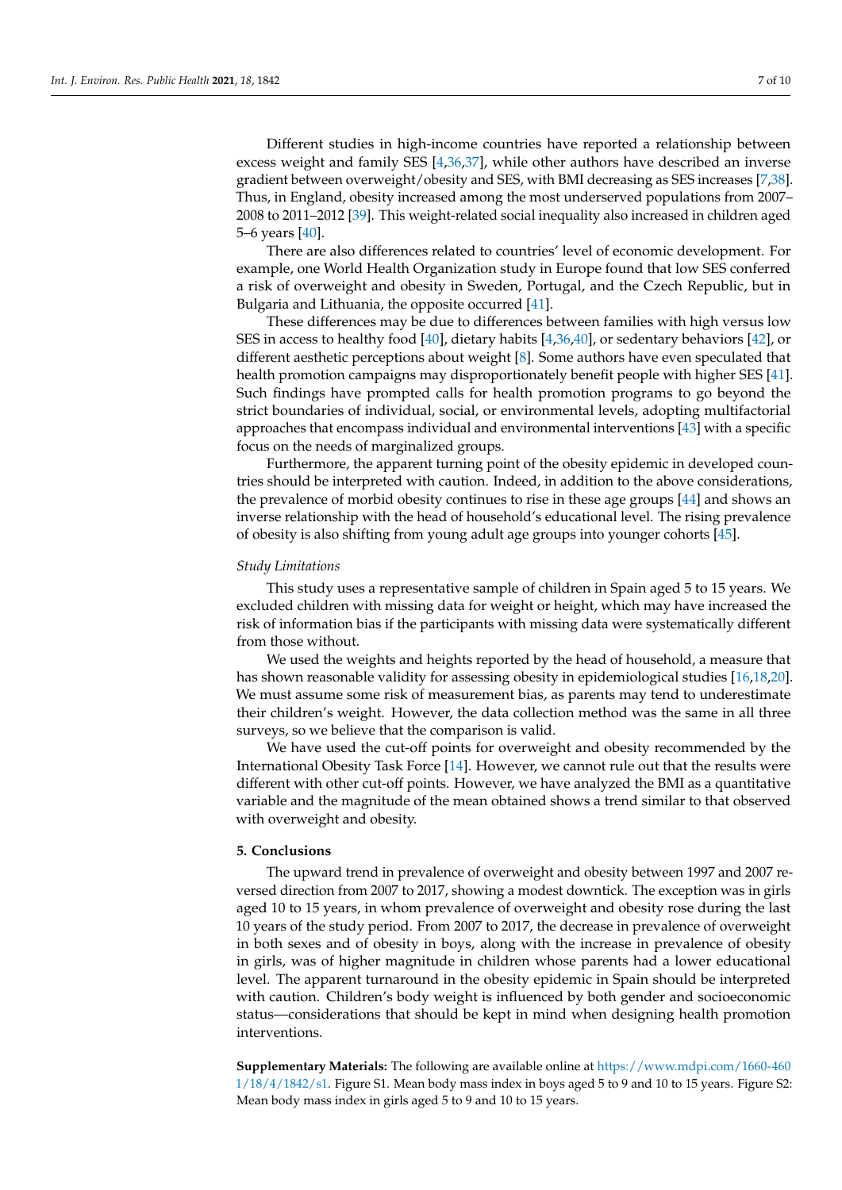Different studies in high-income countries have reported a relationship between excess weight and family SES [\[4](#page-7-3)[,36](#page-8-17)[,37\]](#page-8-18), while other authors have described an inverse gradient between overweight/obesity and SES, with BMI decreasing as SES increases [\[7](#page-7-6)[,38\]](#page-8-19). Thus, in England, obesity increased among the most underserved populations from 2007– 2008 to 2011–2012 [\[39\]](#page-8-20). This weight-related social inequality also increased in children aged 5–6 years [\[40\]](#page-8-21).

There are also differences related to countries' level of economic development. For example, one World Health Organization study in Europe found that low SES conferred a risk of overweight and obesity in Sweden, Portugal, and the Czech Republic, but in Bulgaria and Lithuania, the opposite occurred [\[41\]](#page-8-22).

These differences may be due to differences between families with high versus low SES in access to healthy food [\[40\]](#page-8-21), dietary habits [\[4](#page-7-3)[,36](#page-8-17)[,40\]](#page-8-21), or sedentary behaviors [\[42\]](#page-8-23), or different aesthetic perceptions about weight [\[8\]](#page-7-7). Some authors have even speculated that health promotion campaigns may disproportionately benefit people with higher SES [\[41\]](#page-8-22). Such findings have prompted calls for health promotion programs to go beyond the strict boundaries of individual, social, or environmental levels, adopting multifactorial approaches that encompass individual and environmental interventions [\[43\]](#page-9-0) with a specific focus on the needs of marginalized groups.

Furthermore, the apparent turning point of the obesity epidemic in developed countries should be interpreted with caution. Indeed, in addition to the above considerations, the prevalence of morbid obesity continues to rise in these age groups [\[44\]](#page-9-1) and shows an inverse relationship with the head of household's educational level. The rising prevalence of obesity is also shifting from young adult age groups into younger cohorts [\[45\]](#page-9-2).

## *Study Limitations*

This study uses a representative sample of children in Spain aged 5 to 15 years. We excluded children with missing data for weight or height, which may have increased the risk of information bias if the participants with missing data were systematically different from those without.

We used the weights and heights reported by the head of household, a measure that has shown reasonable validity for assessing obesity in epidemiological studies [\[16,](#page-7-14)[18,](#page-7-16)[20\]](#page-8-1). We must assume some risk of measurement bias, as parents may tend to underestimate their children's weight. However, the data collection method was the same in all three surveys, so we believe that the comparison is valid.

We have used the cut-off points for overweight and obesity recommended by the International Obesity Task Force [\[14\]](#page-7-12). However, we cannot rule out that the results were different with other cut-off points. However, we have analyzed the BMI as a quantitative variable and the magnitude of the mean obtained shows a trend similar to that observed with overweight and obesity.

## **5. Conclusions**

The upward trend in prevalence of overweight and obesity between 1997 and 2007 reversed direction from 2007 to 2017, showing a modest downtick. The exception was in girls aged 10 to 15 years, in whom prevalence of overweight and obesity rose during the last 10 years of the study period. From 2007 to 2017, the decrease in prevalence of overweight in both sexes and of obesity in boys, along with the increase in prevalence of obesity in girls, was of higher magnitude in children whose parents had a lower educational level. The apparent turnaround in the obesity epidemic in Spain should be interpreted with caution. Children's body weight is influenced by both gender and socioeconomic status—considerations that should be kept in mind when designing health promotion interventions.

**Supplementary Materials:** The following are available online at [https://www.mdpi.com/1660-460](https://www.mdpi.com/1660-4601/18/4/1842/s1) [1/18/4/1842/s1.](https://www.mdpi.com/1660-4601/18/4/1842/s1) Figure S1. Mean body mass index in boys aged 5 to 9 and 10 to 15 years. Figure S2: Mean body mass index in girls aged 5 to 9 and 10 to 15 years.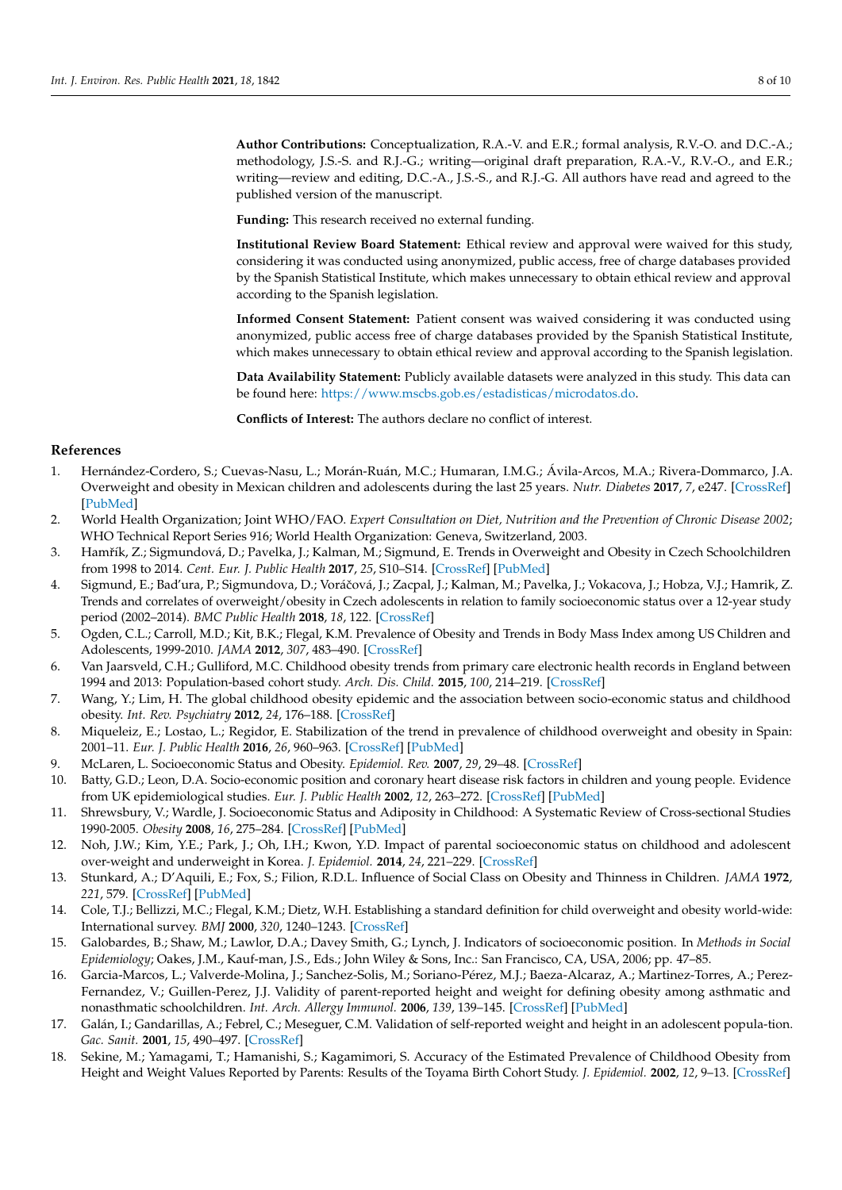**Author Contributions:** Conceptualization, R.A.-V. and E.R.; formal analysis, R.V.-O. and D.C.-A.; methodology, J.S.-S. and R.J.-G.; writing—original draft preparation, R.A.-V., R.V.-O., and E.R.; writing—review and editing, D.C.-A., J.S.-S., and R.J.-G. All authors have read and agreed to the published version of the manuscript.

**Funding:** This research received no external funding.

**Institutional Review Board Statement:** Ethical review and approval were waived for this study, considering it was conducted using anonymized, public access, free of charge databases provided by the Spanish Statistical Institute, which makes unnecessary to obtain ethical review and approval according to the Spanish legislation.

**Informed Consent Statement:** Patient consent was waived considering it was conducted using anonymized, public access free of charge databases provided by the Spanish Statistical Institute, which makes unnecessary to obtain ethical review and approval according to the Spanish legislation.

**Data Availability Statement:** Publicly available datasets were analyzed in this study. This data can be found here: [https://www.mscbs.gob.es/estadisticas/microdatos.do.](https://www.mscbs.gob.es/estadisticas/microdatos.do)

**Conflicts of Interest:** The authors declare no conflict of interest.

## **References**

- <span id="page-7-0"></span>1. Hernández-Cordero, S.; Cuevas-Nasu, L.; Morán-Ruán, M.C.; Humaran, I.M.G.; Ávila-Arcos, M.A.; Rivera-Dommarco, J.A. Overweight and obesity in Mexican children and adolescents during the last 25 years. *Nutr. Diabetes* **2017**, *7*, e247. [\[CrossRef\]](http://doi.org/10.1038/nutd.2016.52) [\[PubMed\]](http://www.ncbi.nlm.nih.gov/pubmed/28287630)
- <span id="page-7-1"></span>2. World Health Organization; Joint WHO/FAO. *Expert Consultation on Diet, Nutrition and the Prevention of Chronic Disease 2002*; WHO Technical Report Series 916; World Health Organization: Geneva, Switzerland, 2003.
- <span id="page-7-2"></span>3. Hamřík, Z.; Sigmundová, D.; Pavelka, J.; Kalman, M.; Sigmund, E. Trends in Overweight and Obesity in Czech Schoolchildren from 1998 to 2014. *Cent. Eur. J. Public Health* **2017**, *25*, S10–S14. [\[CrossRef\]](http://doi.org/10.21101/cejph.a5099) [\[PubMed\]](http://www.ncbi.nlm.nih.gov/pubmed/28752741)
- <span id="page-7-3"></span>4. Sigmund, E.; Bad'ura, P.; Sigmundova, D.; Voráčová, J.; Zacpal, J.; Kalman, M.; Pavelka, J.; Vokacova, J.; Hobza, V.J.; Hamrik, Z. Trends and correlates of overweight/obesity in Czech adolescents in relation to family socioeconomic status over a 12-year study period (2002–2014). *BMC Public Health* **2018**, *18*, 122. [\[CrossRef\]](http://doi.org/10.1186/s12889-017-5013-1)
- <span id="page-7-4"></span>5. Ogden, C.L.; Carroll, M.D.; Kit, B.K.; Flegal, K.M. Prevalence of Obesity and Trends in Body Mass Index among US Children and Adolescents, 1999-2010. *JAMA* **2012**, *307*, 483–490. [\[CrossRef\]](http://doi.org/10.1001/jama.2012.40)
- <span id="page-7-5"></span>6. Van Jaarsveld, C.H.; Gulliford, M.C. Childhood obesity trends from primary care electronic health records in England between 1994 and 2013: Population-based cohort study. *Arch. Dis. Child.* **2015**, *100*, 214–219. [\[CrossRef\]](http://doi.org/10.1136/archdischild-2014-307151)
- <span id="page-7-6"></span>7. Wang, Y.; Lim, H. The global childhood obesity epidemic and the association between socio-economic status and childhood obesity. *Int. Rev. Psychiatry* **2012**, *24*, 176–188. [\[CrossRef\]](http://doi.org/10.3109/09540261.2012.688195)
- <span id="page-7-7"></span>8. Miqueleiz, E.; Lostao, L.; Regidor, E. Stabilization of the trend in prevalence of childhood overweight and obesity in Spain: 2001–11. *Eur. J. Public Health* **2016**, *26*, 960–963. [\[CrossRef\]](http://doi.org/10.1093/eurpub/ckw087) [\[PubMed\]](http://www.ncbi.nlm.nih.gov/pubmed/27335329)
- <span id="page-7-8"></span>9. McLaren, L. Socioeconomic Status and Obesity. *Epidemiol. Rev.* **2007**, *29*, 29–48. [\[CrossRef\]](http://doi.org/10.1093/epirev/mxm001)
- <span id="page-7-9"></span>10. Batty, G.D.; Leon, D.A. Socio-economic position and coronary heart disease risk factors in children and young people. Evidence from UK epidemiological studies. *Eur. J. Public Health* **2002**, *12*, 263–272. [\[CrossRef\]](http://doi.org/10.1093/eurpub/12.4.263) [\[PubMed\]](http://www.ncbi.nlm.nih.gov/pubmed/12506501)
- <span id="page-7-17"></span>11. Shrewsbury, V.; Wardle, J. Socioeconomic Status and Adiposity in Childhood: A Systematic Review of Cross-sectional Studies 1990-2005. *Obesity* **2008**, *16*, 275–284. [\[CrossRef\]](http://doi.org/10.1038/oby.2007.35) [\[PubMed\]](http://www.ncbi.nlm.nih.gov/pubmed/18239633)
- <span id="page-7-10"></span>12. Noh, J.W.; Kim, Y.E.; Park, J.; Oh, I.H.; Kwon, Y.D. Impact of parental socioeconomic status on childhood and adolescent over-weight and underweight in Korea. *J. Epidemiol.* **2014**, *24*, 221–229. [\[CrossRef\]](http://doi.org/10.2188/jea.JE20130056)
- <span id="page-7-11"></span>13. Stunkard, A.; D'Aquili, E.; Fox, S.; Filion, R.D.L. Influence of Social Class on Obesity and Thinness in Children. *JAMA* **1972**, *221*, 579. [\[CrossRef\]](http://doi.org/10.1001/jama.1972.03200190023005) [\[PubMed\]](http://www.ncbi.nlm.nih.gov/pubmed/5068079)
- <span id="page-7-12"></span>14. Cole, T.J.; Bellizzi, M.C.; Flegal, K.M.; Dietz, W.H. Establishing a standard definition for child overweight and obesity world-wide: International survey. *BMJ* **2000**, *320*, 1240–1243. [\[CrossRef\]](http://doi.org/10.1136/bmj.320.7244.1240)
- <span id="page-7-13"></span>15. Galobardes, B.; Shaw, M.; Lawlor, D.A.; Davey Smith, G.; Lynch, J. Indicators of socioeconomic position. In *Methods in Social Epidemiology*; Oakes, J.M., Kauf-man, J.S., Eds.; John Wiley & Sons, Inc.: San Francisco, CA, USA, 2006; pp. 47–85.
- <span id="page-7-14"></span>16. Garcia-Marcos, L.; Valverde-Molina, J.; Sanchez-Solis, M.; Soriano-Pérez, M.J.; Baeza-Alcaraz, A.; Martinez-Torres, A.; Perez-Fernandez, V.; Guillen-Perez, J.J. Validity of parent-reported height and weight for defining obesity among asthmatic and nonasthmatic schoolchildren. *Int. Arch. Allergy Immunol.* **2006**, *139*, 139–145. [\[CrossRef\]](http://doi.org/10.1159/000090389) [\[PubMed\]](http://www.ncbi.nlm.nih.gov/pubmed/16374023)
- <span id="page-7-15"></span>17. Galán, I.; Gandarillas, A.; Febrel, C.; Meseguer, C.M. Validation of self-reported weight and height in an adolescent popula-tion. *Gac. Sanit.* **2001**, *15*, 490–497. [\[CrossRef\]](http://doi.org/10.1016/S0213-9111(01)71611-1)
- <span id="page-7-16"></span>18. Sekine, M.; Yamagami, T.; Hamanishi, S.; Kagamimori, S. Accuracy of the Estimated Prevalence of Childhood Obesity from Height and Weight Values Reported by Parents: Results of the Toyama Birth Cohort Study. *J. Epidemiol.* **2002**, *12*, 9–13. [\[CrossRef\]](http://doi.org/10.2188/jea.12.9)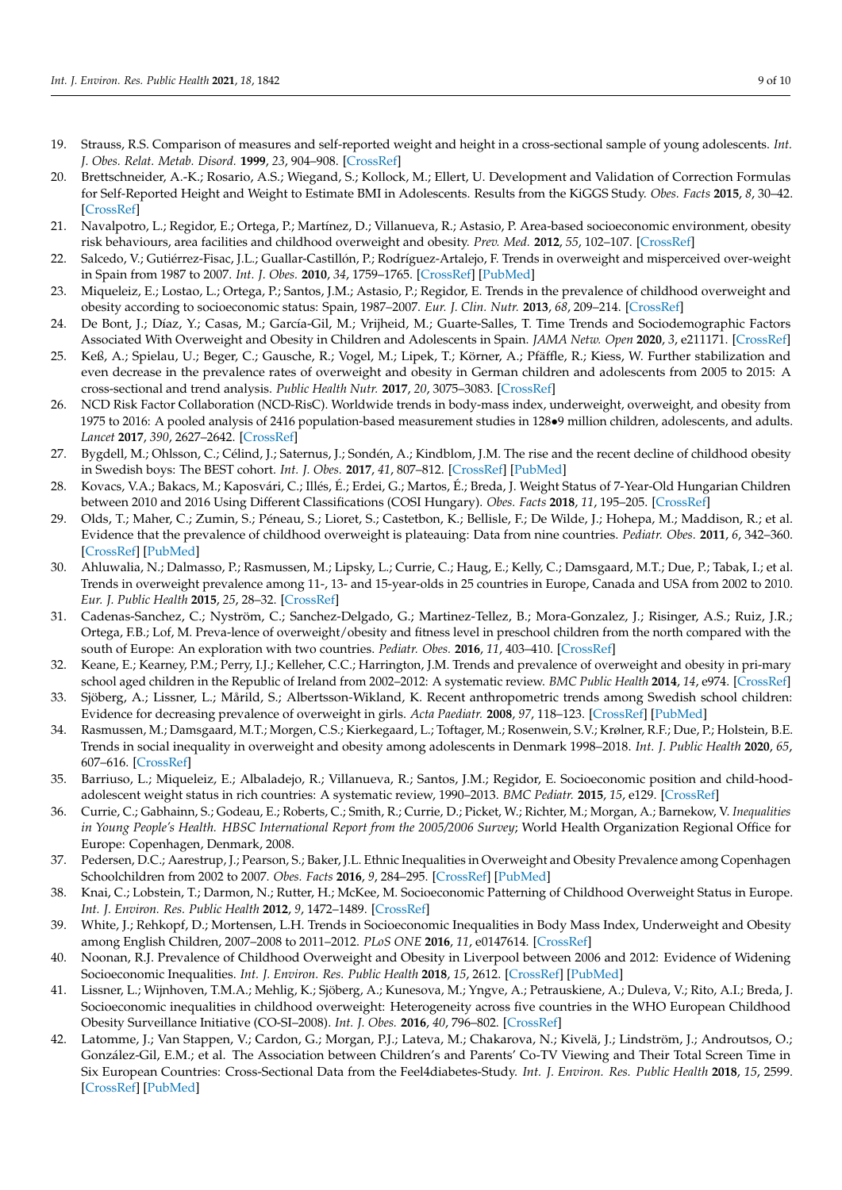- <span id="page-8-0"></span>19. Strauss, R.S. Comparison of measures and self-reported weight and height in a cross-sectional sample of young adolescents. *Int. J. Obes. Relat. Metab. Disord.* **1999**, *23*, 904–908. [\[CrossRef\]](http://doi.org/10.1038/sj.ijo.0800971)
- <span id="page-8-1"></span>20. Brettschneider, A.-K.; Rosario, A.S.; Wiegand, S.; Kollock, M.; Ellert, U. Development and Validation of Correction Formulas for Self-Reported Height and Weight to Estimate BMI in Adolescents. Results from the KiGGS Study. *Obes. Facts* **2015**, *8*, 30–42. [\[CrossRef\]](http://doi.org/10.1159/000375109)
- <span id="page-8-2"></span>21. Navalpotro, L.; Regidor, E.; Ortega, P.; Martínez, D.; Villanueva, R.; Astasio, P. Area-based socioeconomic environment, obesity risk behaviours, area facilities and childhood overweight and obesity. *Prev. Med.* **2012**, *55*, 102–107. [\[CrossRef\]](http://doi.org/10.1016/j.ypmed.2012.05.012)
- <span id="page-8-3"></span>22. Salcedo, V.; Gutiérrez-Fisac, J.L.; Guallar-Castillón, P.; Rodríguez-Artalejo, F. Trends in overweight and misperceived over-weight in Spain from 1987 to 2007. *Int. J. Obes.* **2010**, *34*, 1759–1765. [\[CrossRef\]](http://doi.org/10.1038/ijo.2010.96) [\[PubMed\]](http://www.ncbi.nlm.nih.gov/pubmed/20498661)
- <span id="page-8-4"></span>23. Miqueleiz, E.; Lostao, L.; Ortega, P.; Santos, J.M.; Astasio, P.; Regidor, E. Trends in the prevalence of childhood overweight and obesity according to socioeconomic status: Spain, 1987–2007. *Eur. J. Clin. Nutr.* **2013**, *68*, 209–214. [\[CrossRef\]](http://doi.org/10.1038/ejcn.2013.255)
- <span id="page-8-5"></span>24. De Bont, J.; Díaz, Y.; Casas, M.; García-Gil, M.; Vrijheid, M.; Guarte-Salles, T. Time Trends and Sociodemographic Factors Associated With Overweight and Obesity in Children and Adolescents in Spain. *JAMA Netw. Open* **2020**, *3*, e211171. [\[CrossRef\]](http://doi.org/10.1001/jamanetworkopen.2020.1171)
- <span id="page-8-6"></span>25. Keß, A.; Spielau, U.; Beger, C.; Gausche, R.; Vogel, M.; Lipek, T.; Körner, A.; Pfäffle, R.; Kiess, W. Further stabilization and even decrease in the prevalence rates of overweight and obesity in German children and adolescents from 2005 to 2015: A cross-sectional and trend analysis. *Public Health Nutr.* **2017**, *20*, 3075–3083. [\[CrossRef\]](http://doi.org/10.1017/S1368980017002257)
- <span id="page-8-7"></span>26. NCD Risk Factor Collaboration (NCD-RisC). Worldwide trends in body-mass index, underweight, overweight, and obesity from 1975 to 2016: A pooled analysis of 2416 population-based measurement studies in 128•9 million children, adolescents, and adults. *Lancet* **2017**, *390*, 2627–2642. [\[CrossRef\]](http://doi.org/10.1016/S0140-6736(17)32129-3)
- <span id="page-8-8"></span>27. Bygdell, M.; Ohlsson, C.; Célind, J.; Saternus, J.; Sondén, A.; Kindblom, J.M. The rise and the recent decline of childhood obesity in Swedish boys: The BEST cohort. *Int. J. Obes.* **2017**, *41*, 807–812. [\[CrossRef\]](http://doi.org/10.1038/ijo.2017.23) [\[PubMed\]](http://www.ncbi.nlm.nih.gov/pubmed/28119533)
- <span id="page-8-9"></span>28. Kovacs, V.A.; Bakacs, M.; Kaposvári, C.; Illés, É.; Erdei, G.; Martos, É.; Breda, J. Weight Status of 7-Year-Old Hungarian Children between 2010 and 2016 Using Different Classifications (COSI Hungary). *Obes. Facts* **2018**, *11*, 195–205. [\[CrossRef\]](http://doi.org/10.1159/000487327)
- <span id="page-8-10"></span>29. Olds, T.; Maher, C.; Zumin, S.; Péneau, S.; Lioret, S.; Castetbon, K.; Bellisle, F.; De Wilde, J.; Hohepa, M.; Maddison, R.; et al. Evidence that the prevalence of childhood overweight is plateauing: Data from nine countries. *Pediatr. Obes.* **2011**, *6*, 342–360. [\[CrossRef\]](http://doi.org/10.3109/17477166.2011.605895) [\[PubMed\]](http://www.ncbi.nlm.nih.gov/pubmed/21838570)
- <span id="page-8-11"></span>30. Ahluwalia, N.; Dalmasso, P.; Rasmussen, M.; Lipsky, L.; Currie, C.; Haug, E.; Kelly, C.; Damsgaard, M.T.; Due, P.; Tabak, I.; et al. Trends in overweight prevalence among 11-, 13- and 15-year-olds in 25 countries in Europe, Canada and USA from 2002 to 2010. *Eur. J. Public Health* **2015**, *25*, 28–32. [\[CrossRef\]](http://doi.org/10.1093/eurpub/ckv016)
- <span id="page-8-12"></span>31. Cadenas-Sanchez, C.; Nyström, C.; Sanchez-Delgado, G.; Martinez-Tellez, B.; Mora-Gonzalez, J.; Risinger, A.S.; Ruiz, J.R.; Ortega, F.B.; Lof, M. Preva-lence of overweight/obesity and fitness level in preschool children from the north compared with the south of Europe: An exploration with two countries. *Pediatr. Obes.* **2016**, *11*, 403–410. [\[CrossRef\]](http://doi.org/10.1111/ijpo.12079)
- <span id="page-8-13"></span>32. Keane, E.; Kearney, P.M.; Perry, I.J.; Kelleher, C.C.; Harrington, J.M. Trends and prevalence of overweight and obesity in pri-mary school aged children in the Republic of Ireland from 2002–2012: A systematic review. *BMC Public Health* **2014**, *14*, e974. [\[CrossRef\]](http://doi.org/10.1186/1471-2458-14-974)
- <span id="page-8-14"></span>33. Sjöberg, A.; Lissner, L.; Mårild, S.; Albertsson-Wikland, K. Recent anthropometric trends among Swedish school children: Evidence for decreasing prevalence of overweight in girls. *Acta Paediatr.* **2008**, *97*, 118–123. [\[CrossRef\]](http://doi.org/10.1111/j.1651-2227.2007.00613.x) [\[PubMed\]](http://www.ncbi.nlm.nih.gov/pubmed/18201312)
- <span id="page-8-15"></span>34. Rasmussen, M.; Damsgaard, M.T.; Morgen, C.S.; Kierkegaard, L.; Toftager, M.; Rosenwein, S.V.; Krølner, R.F.; Due, P.; Holstein, B.E. Trends in social inequality in overweight and obesity among adolescents in Denmark 1998–2018. *Int. J. Public Health* **2020**, *65*, 607–616. [\[CrossRef\]](http://doi.org/10.1007/s00038-020-01342-1)
- <span id="page-8-16"></span>35. Barriuso, L.; Miqueleiz, E.; Albaladejo, R.; Villanueva, R.; Santos, J.M.; Regidor, E. Socioeconomic position and child-hoodadolescent weight status in rich countries: A systematic review, 1990–2013. *BMC Pediatr.* **2015**, *15*, e129. [\[CrossRef\]](http://doi.org/10.1186/s12887-015-0443-3)
- <span id="page-8-17"></span>36. Currie, C.; Gabhainn, S.; Godeau, E.; Roberts, C.; Smith, R.; Currie, D.; Picket, W.; Richter, M.; Morgan, A.; Barnekow, V. *Inequalities in Young People's Health. HBSC International Report from the 2005/2006 Survey*; World Health Organization Regional Office for Europe: Copenhagen, Denmark, 2008.
- <span id="page-8-18"></span>37. Pedersen, D.C.; Aarestrup, J.; Pearson, S.; Baker, J.L. Ethnic Inequalities in Overweight and Obesity Prevalence among Copenhagen Schoolchildren from 2002 to 2007. *Obes. Facts* **2016**, *9*, 284–295. [\[CrossRef\]](http://doi.org/10.1159/000446482) [\[PubMed\]](http://www.ncbi.nlm.nih.gov/pubmed/27577690)
- <span id="page-8-19"></span>38. Knai, C.; Lobstein, T.; Darmon, N.; Rutter, H.; McKee, M. Socioeconomic Patterning of Childhood Overweight Status in Europe. *Int. J. Environ. Res. Public Health* **2012**, *9*, 1472–1489. [\[CrossRef\]](http://doi.org/10.3390/ijerph9041472)
- <span id="page-8-20"></span>39. White, J.; Rehkopf, D.; Mortensen, L.H. Trends in Socioeconomic Inequalities in Body Mass Index, Underweight and Obesity among English Children, 2007–2008 to 2011–2012. *PLoS ONE* **2016**, *11*, e0147614. [\[CrossRef\]](http://doi.org/10.1371/journal.pone.0147614)
- <span id="page-8-21"></span>40. Noonan, R.J. Prevalence of Childhood Overweight and Obesity in Liverpool between 2006 and 2012: Evidence of Widening Socioeconomic Inequalities. *Int. J. Environ. Res. Public Health* **2018**, *15*, 2612. [\[CrossRef\]](http://doi.org/10.3390/ijerph15122612) [\[PubMed\]](http://www.ncbi.nlm.nih.gov/pubmed/30469490)
- <span id="page-8-22"></span>41. Lissner, L.; Wijnhoven, T.M.A.; Mehlig, K.; Sjöberg, A.; Kunesova, M.; Yngve, A.; Petrauskiene, A.; Duleva, V.; Rito, A.I.; Breda, J. Socioeconomic inequalities in childhood overweight: Heterogeneity across five countries in the WHO European Childhood Obesity Surveillance Initiative (CO-SI–2008). *Int. J. Obes.* **2016**, *40*, 796–802. [\[CrossRef\]](http://doi.org/10.1038/ijo.2016.12)
- <span id="page-8-23"></span>42. Latomme, J.; Van Stappen, V.; Cardon, G.; Morgan, P.J.; Lateva, M.; Chakarova, N.; Kivelä, J.; Lindström, J.; Androutsos, O.; González-Gil, E.M.; et al. The Association between Children's and Parents' Co-TV Viewing and Their Total Screen Time in Six European Countries: Cross-Sectional Data from the Feel4diabetes-Study. *Int. J. Environ. Res. Public Health* **2018**, *15*, 2599. [\[CrossRef\]](http://doi.org/10.3390/ijerph15112599) [\[PubMed\]](http://www.ncbi.nlm.nih.gov/pubmed/30469348)